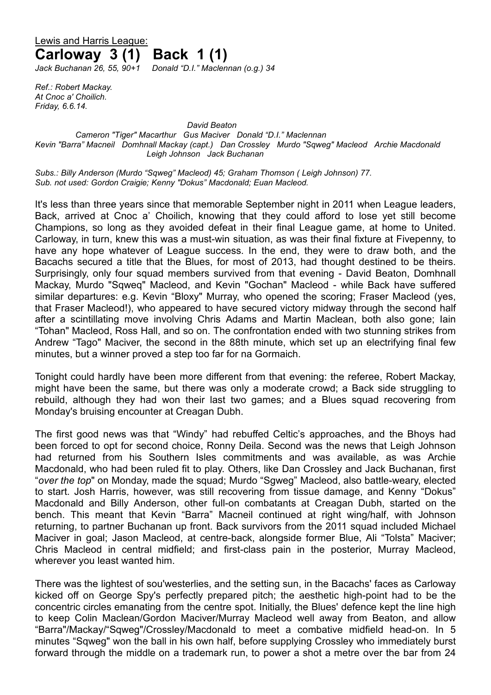# Lewis and Harris League: **Carloway 3 (1) Back 1 (1)** *Jack Buchanan 26, 55, 90+1 Donald "D.I." Maclennan (o.g.) 34*

*Ref.: Robert Mackay. At Cnoc a' Choilich. Friday, 6.6.14.*

#### *David Beaton Cameron "Tiger" Macarthur Gus Maciver Donald "D.I." Maclennan Kevin "Barra" Macneil Domhnall Mackay (capt.) Dan Crossley Murdo "Sqweg" Macleod Archie Macdonald Leigh Johnson Jack Buchanan*

*Subs.: Billy Anderson (Murdo "Sqweg" Macleod) 45; Graham Thomson ( Leigh Johnson) 77. Sub. not used: Gordon Craigie; Kenny "Dokus" Macdonald; Euan Macleod.* 

It's less than three years since that memorable September night in 2011 when League leaders, Back, arrived at Cnoc a' Choilich, knowing that they could afford to lose yet still become Champions, so long as they avoided defeat in their final League game, at home to United. Carloway, in turn, knew this was a must-win situation, as was their final fixture at Fivepenny, to have any hope whatever of League success. In the end, they were to draw both, and the Bacachs secured a title that the Blues, for most of 2013, had thought destined to be theirs. Surprisingly, only four squad members survived from that evening - David Beaton, Domhnall Mackay, Murdo "Sqweq" Macleod, and Kevin "Gochan" Macleod - while Back have suffered similar departures: e.g. Kevin "Bloxy" Murray, who opened the scoring; Fraser Macleod (yes, that Fraser Macleod!), who appeared to have secured victory midway through the second half after a scintillating move involving Chris Adams and Martin Maclean, both also gone; Iain "Tohan" Macleod, Ross Hall, and so on. The confrontation ended with two stunning strikes from Andrew "Tago" Maciver, the second in the 88th minute, which set up an electrifying final few minutes, but a winner proved a step too far for na Gormaich.

Tonight could hardly have been more different from that evening: the referee, Robert Mackay, might have been the same, but there was only a moderate crowd; a Back side struggling to rebuild, although they had won their last two games; and a Blues squad recovering from Monday's bruising encounter at Creagan Dubh.

The first good news was that "Windy" had rebuffed Celtic's approaches, and the Bhoys had been forced to opt for second choice, Ronny Deila. Second was the news that Leigh Johnson had returned from his Southern Isles commitments and was available, as was Archie Macdonald, who had been ruled fit to play. Others, like Dan Crossley and Jack Buchanan, first "*over the top*" on Monday, made the squad; Murdo "Sgweg" Macleod, also battle-weary, elected to start. Josh Harris, however, was still recovering from tissue damage, and Kenny "Dokus" Macdonald and Billy Anderson, other full-on combatants at Creagan Dubh, started on the bench. This meant that Kevin "Barra" Macneil continued at right wing/half, with Johnson returning, to partner Buchanan up front. Back survivors from the 2011 squad included Michael Maciver in goal; Jason Macleod, at centre-back, alongside former Blue, Ali "Tolsta" Maciver; Chris Macleod in central midfield; and first-class pain in the posterior, Murray Macleod, wherever you least wanted him.

There was the lightest of sou'westerlies, and the setting sun, in the Bacachs' faces as Carloway kicked off on George Spy's perfectly prepared pitch; the aesthetic high-point had to be the concentric circles emanating from the centre spot. Initially, the Blues' defence kept the line high to keep Colin Maclean/Gordon Maciver/Murray Macleod well away from Beaton, and allow "Barra"/Mackay/"Sqweg"/Crossley/Macdonald to meet a combative midfield head-on. In 5 minutes "Sqweg" won the ball in his own half, before supplying Crossley who immediately burst forward through the middle on a trademark run, to power a shot a metre over the bar from 24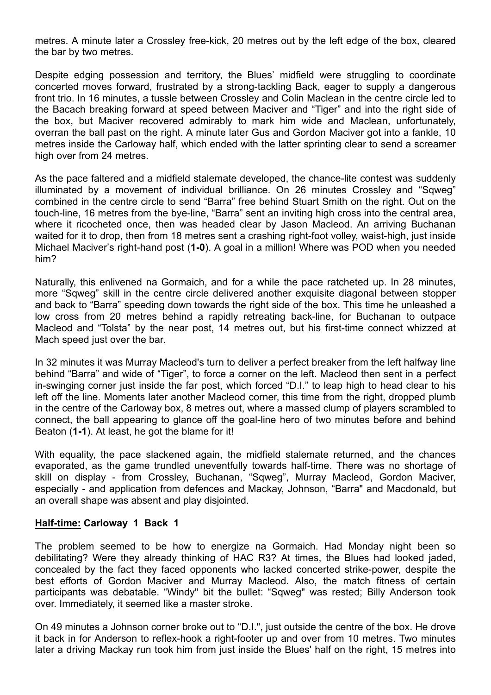metres. A minute later a Crossley free-kick, 20 metres out by the left edge of the box, cleared the bar by two metres.

Despite edging possession and territory, the Blues' midfield were struggling to coordinate concerted moves forward, frustrated by a strong-tackling Back, eager to supply a dangerous front trio. In 16 minutes, a tussle between Crossley and Colin Maclean in the centre circle led to the Bacach breaking forward at speed between Maciver and "Tiger" and into the right side of the box, but Maciver recovered admirably to mark him wide and Maclean, unfortunately, overran the ball past on the right. A minute later Gus and Gordon Maciver got into a fankle, 10 metres inside the Carloway half, which ended with the latter sprinting clear to send a screamer high over from 24 metres.

As the pace faltered and a midfield stalemate developed, the chance-lite contest was suddenly illuminated by a movement of individual brilliance. On 26 minutes Crossley and "Sqweg" combined in the centre circle to send "Barra" free behind Stuart Smith on the right. Out on the touch-line, 16 metres from the bye-line, "Barra" sent an inviting high cross into the central area, where it ricocheted once, then was headed clear by Jason Macleod. An arriving Buchanan waited for it to drop, then from 18 metres sent a crashing right-foot volley, waist-high, just inside Michael Maciver's right-hand post (**1-0**). A goal in a million! Where was POD when you needed him?

Naturally, this enlivened na Gormaich, and for a while the pace ratcheted up. In 28 minutes, more "Sqweg" skill in the centre circle delivered another exquisite diagonal between stopper and back to "Barra" speeding down towards the right side of the box. This time he unleashed a low cross from 20 metres behind a rapidly retreating back-line, for Buchanan to outpace Macleod and "Tolsta" by the near post, 14 metres out, but his first-time connect whizzed at Mach speed just over the bar.

In 32 minutes it was Murray Macleod's turn to deliver a perfect breaker from the left halfway line behind "Barra" and wide of "Tiger", to force a corner on the left. Macleod then sent in a perfect in-swinging corner just inside the far post, which forced "D.I." to leap high to head clear to his left off the line. Moments later another Macleod corner, this time from the right, dropped plumb in the centre of the Carloway box, 8 metres out, where a massed clump of players scrambled to connect, the ball appearing to glance off the goal-line hero of two minutes before and behind Beaton (**1-1**). At least, he got the blame for it!

With equality, the pace slackened again, the midfield stalemate returned, and the chances evaporated, as the game trundled uneventfully towards half-time. There was no shortage of skill on display - from Crossley, Buchanan, "Sqweg", Murray Macleod, Gordon Maciver, especially - and application from defences and Mackay, Johnson, "Barra" and Macdonald, but an overall shape was absent and play disjointed.

## **Half-time: Carloway 1 Back 1**

The problem seemed to be how to energize na Gormaich. Had Monday night been so debilitating? Were they already thinking of HAC R3? At times, the Blues had looked jaded, concealed by the fact they faced opponents who lacked concerted strike-power, despite the best efforts of Gordon Maciver and Murray Macleod. Also, the match fitness of certain participants was debatable. "Windy" bit the bullet: "Sqweg" was rested; Billy Anderson took over. Immediately, it seemed like a master stroke.

On 49 minutes a Johnson corner broke out to "D.I.", just outside the centre of the box. He drove it back in for Anderson to reflex-hook a right-footer up and over from 10 metres. Two minutes later a driving Mackay run took him from just inside the Blues' half on the right, 15 metres into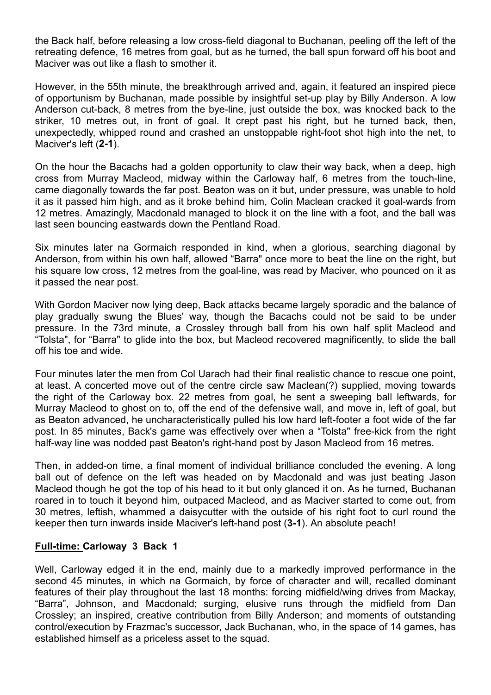the Back half, before releasing a low cross-field diagonal to Buchanan, peeling off the left of the retreating defence, 16 metres from goal, but as he turned, the ball spun forward off his boot and Maciver was out like a flash to smother it.

However, in the 55th minute, the breakthrough arrived and, again, it featured an inspired piece of opportunism by Buchanan, made possible by insightful set-up play by Billy Anderson. A low Anderson cut-back, 8 metres from the bye-line, just outside the box, was knocked back to the striker, 10 metres out, in front of goal. It crept past his right, but he turned back, then, unexpectedly, whipped round and crashed an unstoppable right-foot shot high into the net, to Maciver's left (**2-1**).

On the hour the Bacachs had a golden opportunity to claw their way back, when a deep, high cross from Murray Macleod, midway within the Carloway half, 6 metres from the touch-line, came diagonally towards the far post. Beaton was on it but, under pressure, was unable to hold it as it passed him high, and as it broke behind him, Colin Maclean cracked it goal-wards from 12 metres. Amazingly, Macdonald managed to block it on the line with a foot, and the ball was last seen bouncing eastwards down the Pentland Road.

Six minutes later na Gormaich responded in kind, when a glorious, searching diagonal by Anderson, from within his own half, allowed "Barra" once more to beat the line on the right, but his square low cross, 12 metres from the goal-line, was read by Maciver, who pounced on it as it passed the near post.

With Gordon Maciver now lying deep, Back attacks became largely sporadic and the balance of play gradually swung the Blues' way, though the Bacachs could not be said to be under pressure. In the 73rd minute, a Crossley through ball from his own half split Macleod and "Tolsta", for "Barra" to glide into the box, but Macleod recovered magnificently, to slide the ball off his toe and wide.

Four minutes later the men from Col Uarach had their final realistic chance to rescue one point, at least. A concerted move out of the centre circle saw Maclean(?) supplied, moving towards the right of the Carloway box. 22 metres from goal, he sent a sweeping ball leftwards, for Murray Macleod to ghost on to, off the end of the defensive wall, and move in, left of goal, but as Beaton advanced, he uncharacteristically pulled his low hard left-footer a foot wide of the far post. In 85 minutes, Back's game was effectively over when a "Tolsta" free-kick from the right half-way line was nodded past Beaton's right-hand post by Jason Macleod from 16 metres.

Then, in added-on time, a final moment of individual brilliance concluded the evening. A long ball out of defence on the left was headed on by Macdonald and was just beating Jason Macleod though he got the top of his head to it but only glanced it on. As he turned, Buchanan roared in to touch it beyond him, outpaced Macleod, and as Maciver started to come out, from 30 metres, leftish, whammed a daisycutter with the outside of his right foot to curl round the keeper then turn inwards inside Maciver's left-hand post (**3-1**). An absolute peach!

## **Full-time: Carloway 3 Back 1**

Well, Carloway edged it in the end, mainly due to a markedly improved performance in the second 45 minutes, in which na Gormaich, by force of character and will, recalled dominant features of their play throughout the last 18 months: forcing midfield/wing drives from Mackay, "Barra", Johnson, and Macdonald; surging, elusive runs through the midfield from Dan Crossley; an inspired, creative contribution from Billy Anderson; and moments of outstanding control/execution by Frazmac's successor, Jack Buchanan, who, in the space of 14 games, has established himself as a priceless asset to the squad.